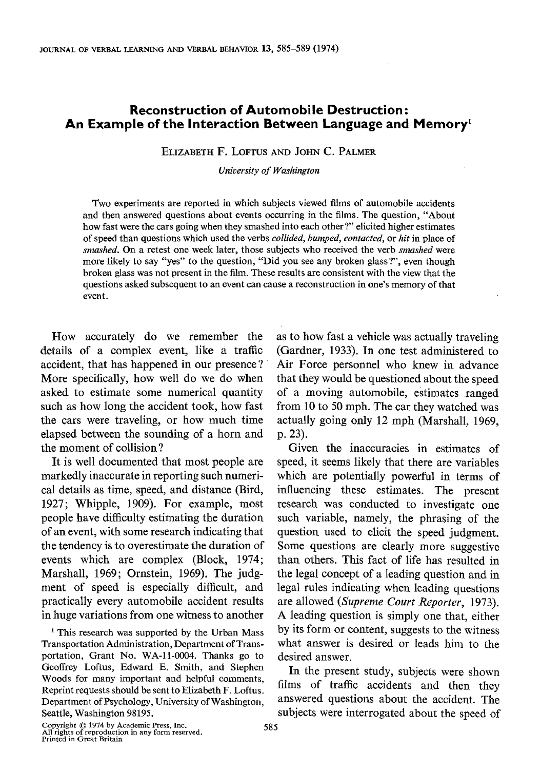# **Reconstruction of Automobile Destruction:**  An Example of the Interaction Between Language and Memory<sup>1</sup>

ELIZABETH F. LOFTUS AND JOHN C. PALMER

*University of Washington* 

Two experiments are reported in which subjects viewed films of automobile accidents and then answered questions about events occurring in the films. The question, "About how fast were the cars going when they smashed into each other ?" elicited higher estimates of speed than questions which used the verbs *collided, bumped, contacted,* or *hit* in place of *smashed.* On a retest one week later, those subjects who received the verb *smashed* were more likely to say "yes" to the question, "Did you see any broken glass?", even though broken glass was not present in the film. These results are consistent with the view that the questions asked subsequent to an event can cause a reconstruction in one's memory of that event.

How accurately do we remember the details of a complex event, like a traffic accident, that has happened in our presence ? More specifically, how well do we do when asked to estimate some numerical quantity such as how long the accident took, how fast the cars were traveling, or how much time elapsed between the sounding of a horn and the moment of collision?

It is well documented that most people are markedly inaccurate in reporting such numerical details as time, speed, and distance (Bird, 1927; Whipple, 1909). For example, most people have difficulty estimating the duration of an event, with some research indicating that the tendency is to overestimate the duration of events which are complex (Block, 1974; Marshall, 1969; Ornstein, 1969). The judgment of speed is especially difficult, and practically every automobile accident results in huge variations from one witness to another

<sup>1</sup> This research was supported by the Urban Mass Transportation Administration, Department of Transportation, Grant No. WA-11-0004. Thanks go to Geoffrey Loftus, Edward E. Smith, and Stephen Woods for many important and helpful comments, Reprint requests should be sent to Elizabeth F. Loftus. Department of Psychology, University of Washington, Seattle, Washington 98195.

as to how fast a vehicle was actually traveling (Gardner, 1933). In one test administered to Air Force personnel who knew in advance that they would be questioned about the speed of a moving automobile, estimates ranged from 10 to 50 mph. The car they watched was actually going only 12 mph (Marshall, 1969, p. 23).

Given the inaccuracies in estimates of speed, it seems likely that there are variables which are potentially powerful in terms of influencing these estimates. The present research was conducted to investigate one such variable, namely, the phrasing of the question used to elicit the speed judgment. Some questions are clearly more suggestive than others. This fact of life has resulted in the legal concept of a leading question and in legal rules indicating when leading questions are allowed *(Supreme Court Reporter,* 1973). A leading question is simply one that, either by its form or content, suggests to the witness what answer is desired or leads him to the desired answer.

In the present study, subjects were shown films of traffic accidents and then they answered questions about the accident. The subjects were interrogated about the speed of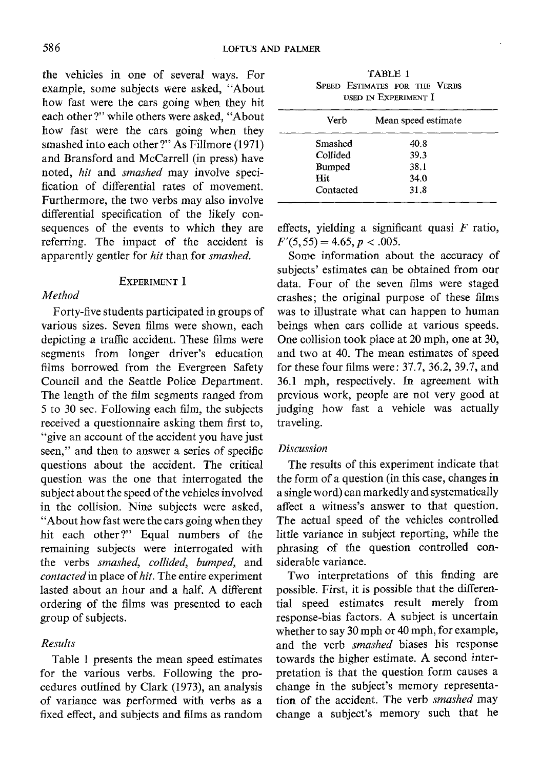the vehicles in one of several ways. For example, some subjects were asked, "About how fast were the cars going when they hit each other ?" while others were asked, "About how fast were the cars going when they smashed into each other ?" As Fillmore (1971) and Bransford and McCarrell (in press) have noted, *hit* and *smashed* may involve specification of differential rates of movement. Furthermore, the two verbs may also involve differential specification of the likely consequences of the events to which they are referring. The impact of the accident is apparently gentler for *hit* than for *smashed.* 

# EXPERIMENT I

# *Method*

Forty-five students participated in groups of various sizes. Seven films were shown, each depicting a traffic accident. These films were segments from longer driver's education films borrowed from the Evergreen Safety Council and the Seattle Police Department. The length of the film segments ranged from 5 to 30 sec. Following each film, the subjects received a questionnaire asking them first to, "give an account of the accident you have just seen," and then to answer a series of specific questions about the accident. The critical question was the one that interrogated the subject about the speed of the vehicles involved in the collision. Nine subjects were asked, "About how fast were the cars going when they hit each other?" Equal numbers of the remaining subjects were interrogated with the verbs *smashed, eollided, bumped,* and *contacted* in place of *hit.* The entire experiment lasted about an hour and a half. A different ordering of the films was presented to each group of subjects.

# *Results*

Table 1 presents the mean speed estimates for the various verbs. Following the procedures outlined by Clark (1973), an analysis of variance was performed with verbs as a fixed effect, and subjects and films as random

| Verb      | Mean speed estimate |
|-----------|---------------------|
| Smashed   | 40.8                |
| Collided  | 39.3                |
| Bumped    | 38.1                |
| Hit       | 34.0                |
| Contacted | 31.8                |

TABLE 1 SPEED ESTIMATES FOR THE VERBS USED IN EXPERIMENT I

effects, yielding a significant quasi  $F$  ratio,  $F'(5,55) = 4.65, p < .005.$ 

Some information about the accuracy of subjects' estimates can be obtained from our data. Four of the seven films were staged crashes; the original purpose of these films was to illustrate what can happen to human beings when cars collide at various speeds. One collision took place at 20 mph, one at 30, and two at 40. The mean estimates of speed for these four films were: 37.7, 36.2, 39.7, and 36.1 mph, respectively. In agreement with previous work, people are not very good at judging how fast a vehicle was actually traveling.

#### *Discussion*

The results of this experiment indicate that the form of a question (in this case, changes in a single word) can markedly and systematically affect a witness's answer to that question. The actual speed of the vehicles controlled little variance in subject reporting, while the phrasing of the question controlled considerable variance.

Two interpretations of this finding are possible. First, it is possible that the differential speed estimates result merely from response-bias factors. A subject is uncertain whether to say 30 mph or 40 mph, for example, and the verb *smashed* biases his response towards the higher estimate. A second interpretation is that the question form causes a change in the subject's memory representation of the accident. The verb *smashed* may change a subject's memory such that he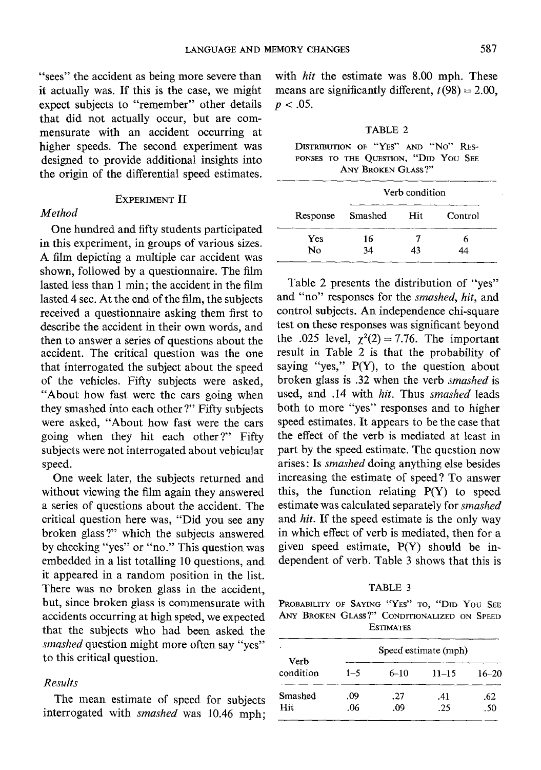"sees" the accident as being more severe than it actually was. If this is the case, we might expect subjects to "remember" other details that did not actually occur, but are commensurate with an accident occurring at higher speeds. The second experiment was designed to provide additional insights into the origin of the differential speed estimates.

#### EXPERIMENT II

### *Method*

# One hundred and fifty students participated

in this experiment, in groups of various sizes. A film depicting a multiple car accident was shown, followed by a questionnaire. The film lasted less than  $1$  min; the accident in the film lasted 4 sec. At the end of the film, the subjects received a questionnaire asking them first to describe the accident in their own words, and then to answer a series of questions about the accident. The critical question was the one that interrogated the subject about the speed of the vehicles. Fifty subjects were asked, "About how fast were the cars going when they smashed into each other?" Fifty subjects were asked, "About how fast were the cars going when they hit each other?" Fifty subjects were not interrogated about vehicular speed.

One week later, the subjects returned and without viewing the film again they answered a series of questions about the accident. The critical question here was, "Did you see any broken glass ?" which the subjects answered by checking "yes" or "no." This question was embedded in a list totalling 10 questions, and it appeared in a random position in the list. There was no broken glass in the accident, but, since broken glass is commensurate with accidents occurring at high speed, we expected that the subjects who had been asked the *smashed* question might more often say "yes" to this critical question.

#### *Results*

The mean estimate of speed for subjects interrogated with *smashed* was 10.46 mph; with *hit* the estimate was 8.00 mph. These means are significantly different,  $t(98) = 2.00$ ,  $p < .05$ .

| ю |  |
|---|--|
|   |  |

DISTRIBUTION OF "YES" AND "No" RES-PONSES TO THE QUESTION, "DID YOU SEE ANY BROKEN GLASS ?"

|          | Verb condition |      |         |  |
|----------|----------------|------|---------|--|
| Response | Smashed        | Hit. | Control |  |
| Yes      | 16             |      | 6       |  |
| No       | 34             | 43   |         |  |

Table 2 presents the distribution of "yes" and "no" responses for the *smashed, hit,* and control subjects. An independence chi-square test on these responses was significant beyond the .025 level,  $\chi^2(2) = 7.76$ . The important result in Table 2 is that the probability of saying "yes,"  $P(Y)$ , to the question about broken glass is .32 when the verb *smashed* is used, and .14 with *hit.* Thus *smashed* leads both to more "yes" responses and to higher speed estimates. It appears to be the case that the effect of the verb is mediated at least in part by the speed estimate. The question now arises: Is *smashed* doing anything else besides increasing the estimate of speed? To answer this, the function relating  $P(Y)$  to speed estimate was calculated separately for *smashed*  and *hit.* If the speed estimate is the only way in which effect of verb is mediated, then for a given speed estimate, P(Y) should be independent of verb. Table 3 shows that this is

| $\Delta B_{\rm L}$ |  |  |
|--------------------|--|--|
|--------------------|--|--|

PROBABILITY OF SAYING "YES" TO, "DID YOU SEE ANY BROKEN GLASS?" CONDITIONALIZED ON SPEED **ESTIMATES** 

| ٠<br>Verh | Speed estimate (mph) |          |           |           |  |
|-----------|----------------------|----------|-----------|-----------|--|
| condition | $1 - 5$              | $6 - 10$ | $11 - 15$ | $16 - 20$ |  |
| Smashed   | .09                  | .27      | .41       | .62       |  |
| Hit       | .06                  | .09      | .25       | .50       |  |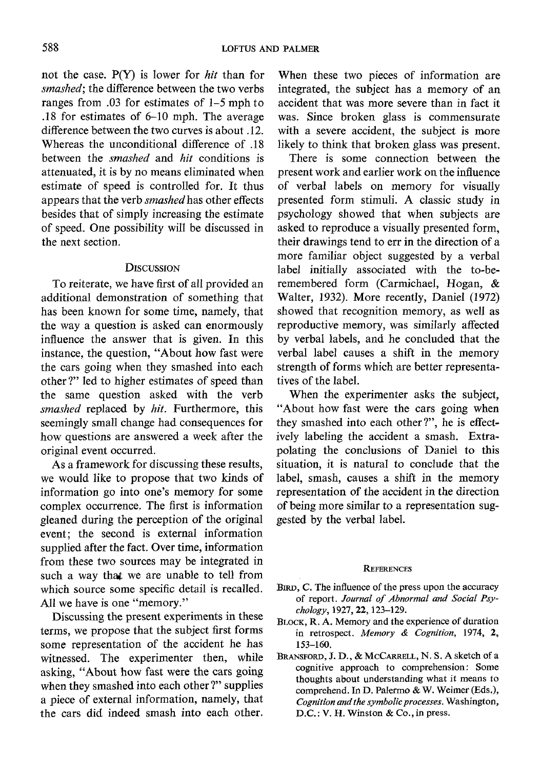not the case.  $P(Y)$  is lower for hit than for *smashed;* the difference between the two verbs ranges from .03 for estimates of 1-5 mph to .18 for estimates of 6-10 mph. The average difference between the two curves is about. 12. Whereas the unconditional difference of .18 between the *smashed* and *hit* conditions is attenuated, it is by no means eliminated when estimate of speed is controlled for. It thus appears that the verb *smashed* has other effects besides that of simply increasing the estimate of speed. One possibility will be discussed in the next section.

#### **DISCUSSION**

To reiterate, we have first of all provided an additional demonstration of something that has been known for some time, namely, that the way a question is asked can enormously influence the answer that is given. In this instance, the question, "About how fast were the cars going when they smashed into each other ?" led to higher estimates of speed than the same question asked with the verb *smashed* replaced by *hit.* Furthermore, this seemingly small change had consequences for how questions are answered a week after the original event occurred.

As a framework for discussing these results, we would like to propose that two kinds of information go into one's memory for some complex occurrence. The first is information gleaned during the perception of the original event; the second is external information supplied after the fact. Over time, information from these two sources may be integrated in such a way that we are unable to tell from which source some specific detail is recalled. All we have is one "memory."

Discussing the present experiments in these terms, we propose that the subject first forms some representation of the accident he has witnessed. The experimenter then, while asking, "About how fast were the cars going when they smashed into each other ?" supplies a piece of external information, namely, that the cars did indeed smash into each other.

When these two pieces of information are integrated, the subject has a memory of an accident that was more severe than in fact it was. Since broken glass is commensurate with a severe accident, the subject is more likely to think that broken glass was present.

There is some *connection* between the present work and earlier work on the influence of verbal labels on memory for visually presented form stimuli. A classic study in psychology showed that when subjects are asked to reproduce a visually presented form, their drawings tend to err in the direction of a more familiar object suggested by a verbal label initially associated with the to-beremembered form (Carmichael, Hogan, & Walter, 1932). More recently, Daniel (1972) showed that recognition memory, as well as reproductive memory, was similarly affected by verbal labels, and he concluded that the verbal label causes a shift in the memory strength of forms which are better representatives of the label.

When the experimenter asks the subject, "About how fast were the cars going when they smashed into each other?", he is effectively labeling the accident a smash. Extrapolating the conclusions of Daniel to this situation, it is natural to conclude that the label, smash, causes a shift in the memory representation of the accident in the direction of being more similar to a representation suggested by the verbal label

#### **REFERENCES**

- BIRD, C. The influence of the press upon the accuracy of report. *Journal of Abnormal and Social Psychology,* 1927, 22, 123-129.
- BLOCK, R. A. Memory and the experience of duration in retrospect. *Memory & Cognition,* 1974, 2, 153-160.
- BRANSFORD, J. D., & McCARRELL, N. S. A sketch of a cognitive approach to comprehension; Some thoughts about understanding what it means to comprehend. In D. Palermo & W. Weimer (Eds.), *Cognition and the symbolic processes.* Washington, D.C.: V. H. Winston & Co., in press.